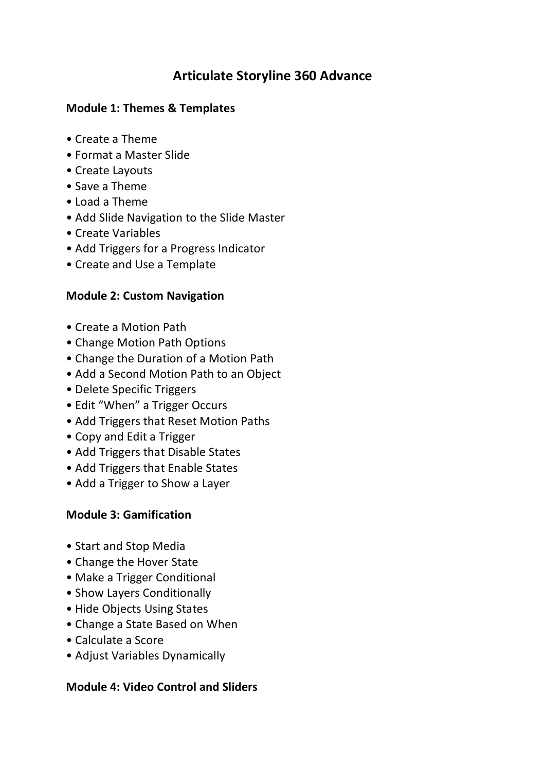# **Articulate Storyline 360 Advance**

#### **Module 1: Themes & Templates**

- Create a Theme
- Format a Master Slide
- Create Layouts
- Save a Theme
- Load a Theme
- Add Slide Navigation to the Slide Master
- Create Variables
- Add Triggers for a Progress Indicator
- Create and Use a Template

## **Module 2: Custom Navigation**

- Create a Motion Path
- Change Motion Path Options
- Change the Duration of a Motion Path
- Add a Second Motion Path to an Object
- Delete Specific Triggers
- Edit "When" a Trigger Occurs
- Add Triggers that Reset Motion Paths
- Copy and Edit a Trigger
- Add Triggers that Disable States
- Add Triggers that Enable States
- Add a Trigger to Show a Layer

## **Module 3: Gamification**

- Start and Stop Media
- Change the Hover State
- Make a Trigger Conditional
- Show Layers Conditionally
- Hide Objects Using States
- Change a State Based on When
- Calculate a Score
- Adjust Variables Dynamically

## **Module 4: Video Control and Sliders**